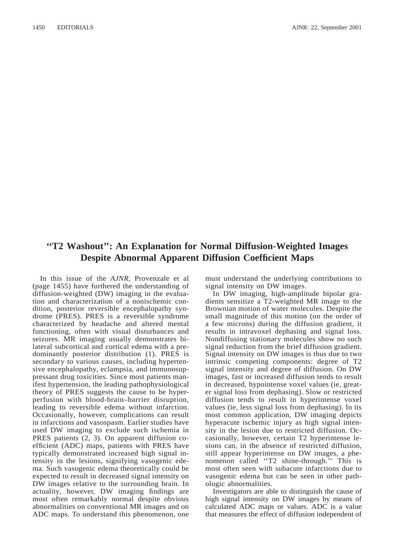## **''T2 Washout'': An Explanation for Normal Diffusion-Weighted Images Despite Abnormal Apparent Diffusion Coefficient Maps**

In this issue of the *AJNR,* Provenzale et al (page 1455) have furthered the understanding of diffusion-weighted (DW) imaging in the evaluation and characterization of a nonischemic condition, posterior reversible encephalopathy syndrome (PRES). PRES is a reversible syndrome characterized by headache and altered mental functioning, often with visual disturbances and seizures. MR imaging usually demonstrates bilateral subcortical and cortical edema with a predominantly posterior distribution (1). PRES is secondary to various causes, including hypertensive encephalopathy, eclampsia, and immunosuppressant drug toxicities. Since most patients manifest hypertension, the leading pathophysiological theory of PRES suggests the cause to be hyperperfusion with blood-brain–barrier disruption, leading to reversible edema without infarction. Occasionally, however, complications can result in infarctions and vasospasm. Earlier studies have used DW imaging to exclude such ischemia in PRES patients (2, 3). On apparent diffusion coefficient (ADC) maps, patients with PRES have typically demonstrated increased high signal intensity in the lesions, signifying vasogenic edema. Such vasogenic edema theoretically could be expected to result in decreased signal intensity on DW images relative to the surrounding brain. In actuality, however, DW imaging findings are most often remarkably normal despite obvious abnormalities on conventional MR images and on ADC maps. To understand this phenomenon, one must understand the underlying contributions to signal intensity on DW images.

In DW imaging, high-amplitude bipolar gradients sensitize a T2-weighted MR image to the Brownian motion of water molecules. Despite the small magnitude of this motion (on the order of a few microns) during the diffusion gradient, it results in intravoxel dephasing and signal loss. Nondiffusing stationary molecules show no such signal reduction from the brief diffusion gradient. Signal intensity on DW images is thus due to two intrinsic competing components: degree of T2 signal intensity and degree of diffusion. On DW images, fast or increased diffusion tends to result in decreased, hypointense voxel values (ie, greater signal loss from dephasing). Slow or restricted diffusion tends to result in hyperintense voxel values (ie, less signal loss from dephasing). In its most common application, DW imaging depicts hyperacute ischemic injury as high signal intensity in the lesion due to restricted diffusion. Occasionally, however, certain T2 hyperintense lesions can, in the absence of restricted diffusion, still appear hyperintense on DW images, a phenomenon called ''T2 shine-through.'' This is most often seen with subacute infarctions due to vasogenic edema but can be seen in other pathologic abnormalities.

Investigators are able to distinguish the cause of high signal intensity on DW images by means of calculated ADC maps or values. ADC is a value that measures the effect of diffusion independent of